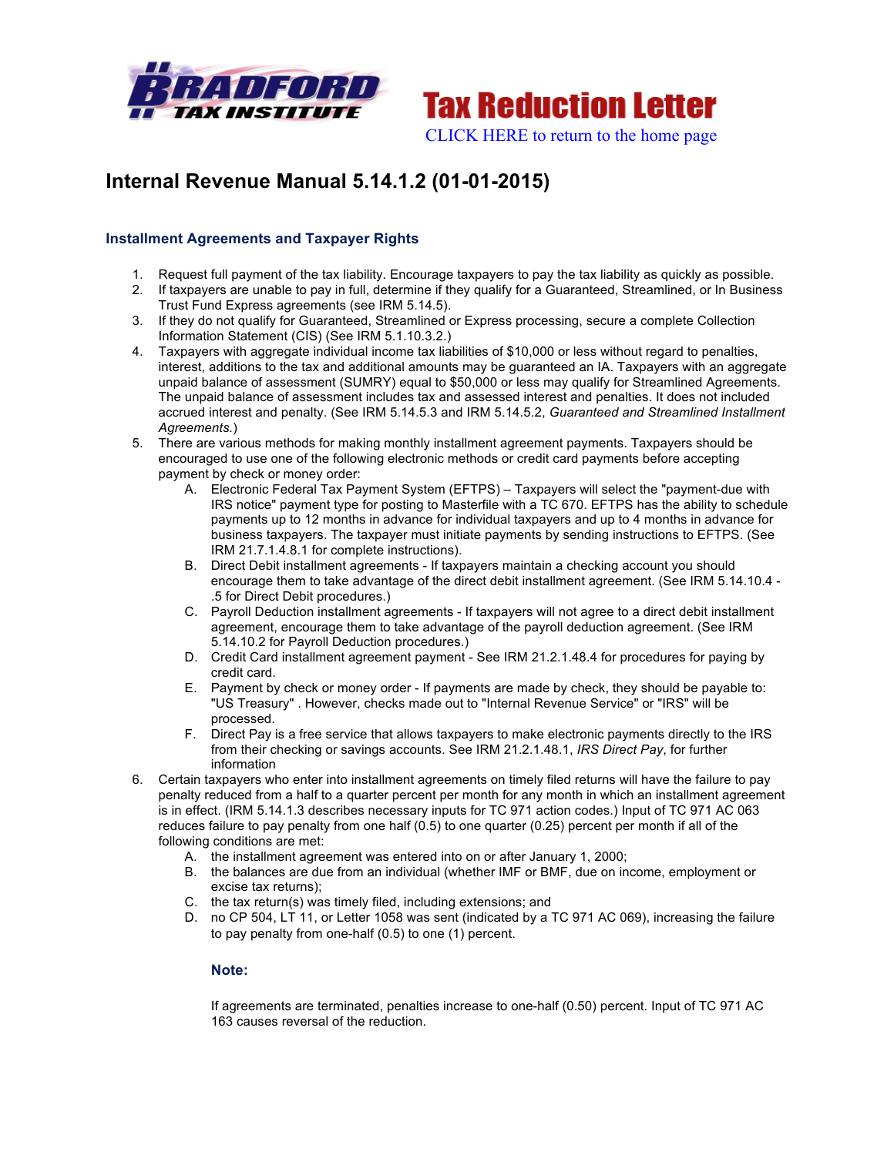



# **Internal Revenue Manual 5.14.1.2 (01-01-2015)**

## **Installment Agreements and Taxpayer Rights**

- 1. Request full payment of the tax liability. Encourage taxpayers to pay the tax liability as quickly as possible.
- 2. If taxpayers are unable to pay in full, determine if they qualify for a Guaranteed, Streamlined, or In Business Trust Fund Express agreements (see IRM 5.14.5).
- 3. If they do not qualify for Guaranteed, Streamlined or Express processing, secure a complete Collection Information Statement (CIS) (See IRM 5.1.10.3.2.)
- 4. Taxpayers with aggregate individual income tax liabilities of \$10,000 or less without regard to penalties, interest, additions to the tax and additional amounts may be guaranteed an IA. Taxpayers with an aggregate unpaid balance of assessment (SUMRY) equal to \$50,000 or less may qualify for Streamlined Agreements. The unpaid balance of assessment includes tax and assessed interest and penalties. It does not included accrued interest and penalty. (See IRM 5.14.5.3 and IRM 5.14.5.2, *Guaranteed and Streamlined Installment Agreements.*)
- 5. There are various methods for making monthly installment agreement payments. Taxpayers should be encouraged to use one of the following electronic methods or credit card payments before accepting payment by check or money order:
	- A. Electronic Federal Tax Payment System (EFTPS) Taxpayers will select the "payment-due with IRS notice" payment type for posting to Masterfile with a TC 670. EFTPS has the ability to schedule payments up to 12 months in advance for individual taxpayers and up to 4 months in advance for business taxpayers. The taxpayer must initiate payments by sending instructions to EFTPS. (See IRM 21.7.1.4.8.1 for complete instructions).
	- B. Direct Debit installment agreements If taxpayers maintain a checking account you should encourage them to take advantage of the direct debit installment agreement. (See IRM 5.14.10.4 - .5 for Direct Debit procedures.)
	- C. Payroll Deduction installment agreements If taxpayers will not agree to a direct debit installment agreement, encourage them to take advantage of the payroll deduction agreement. (See IRM 5.14.10.2 for Payroll Deduction procedures.)
	- D. Credit Card installment agreement payment See IRM 21.2.1.48.4 for procedures for paying by credit card.
	- E. Payment by check or money order If payments are made by check, they should be payable to: "US Treasury" . However, checks made out to "Internal Revenue Service" or "IRS" will be processed.
	- F. Direct Pay is a free service that allows taxpayers to make electronic payments directly to the IRS from their checking or savings accounts. See IRM 21.2.1.48.1, *IRS Direct Pay*, for further information
- 6. Certain taxpayers who enter into installment agreements on timely filed returns will have the failure to pay penalty reduced from a half to a quarter percent per month for any month in which an installment agreement is in effect. (IRM 5.14.1.3 describes necessary inputs for TC 971 action codes.) Input of TC 971 AC 063 reduces failure to pay penalty from one half (0.5) to one quarter (0.25) percent per month if all of the following conditions are met:
	- A. the installment agreement was entered into on or after January 1, 2000;
	- B. the balances are due from an individual (whether IMF or BMF, due on income, employment or excise tax returns);
	- C. the tax return(s) was timely filed, including extensions; and
	- D. no CP 504, LT 11, or Letter 1058 was sent (indicated by a TC 971 AC 069), increasing the failure to pay penalty from one-half (0.5) to one (1) percent.

### **Note:**

If agreements are terminated, penalties increase to one-half (0.50) percent. Input of TC 971 AC 163 causes reversal of the reduction.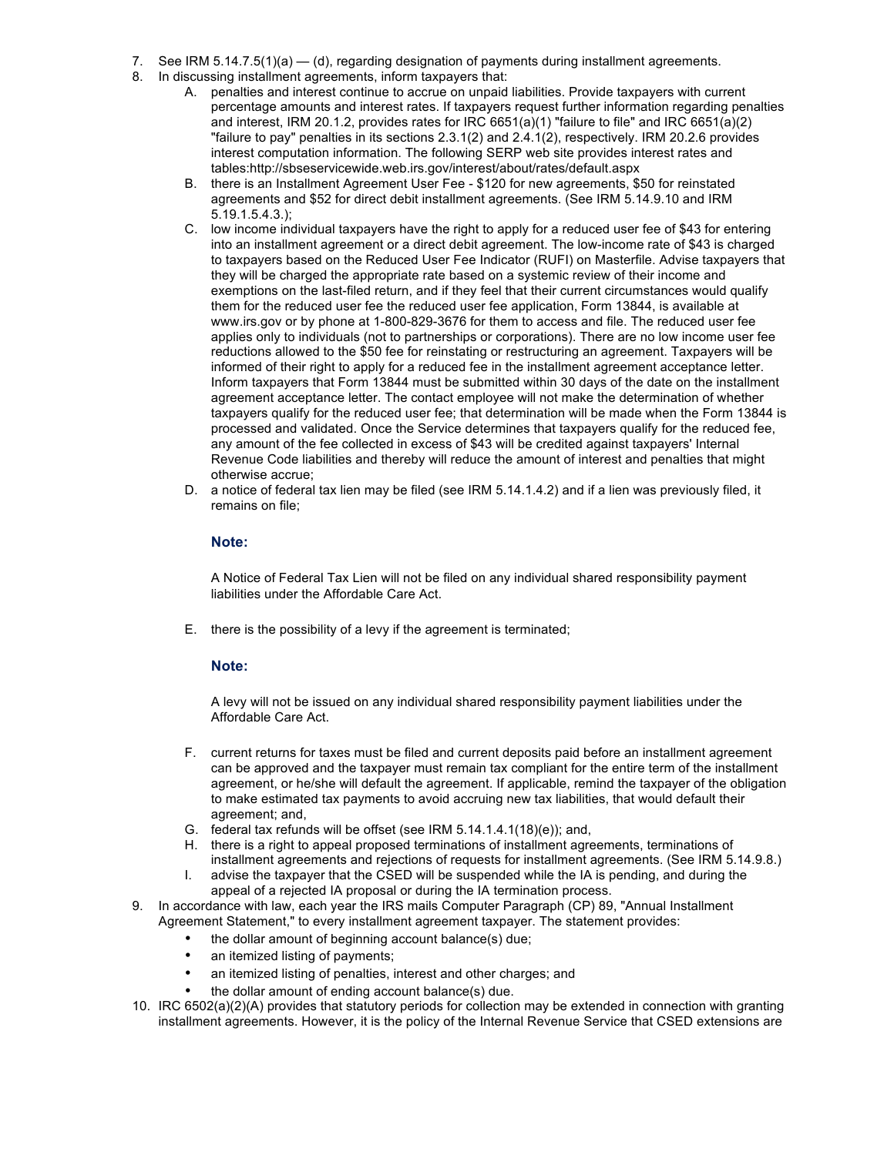- 7. See IRM 5.14.7.5(1)(a) (d), regarding designation of payments during installment agreements.
- 8. In discussing installment agreements, inform taxpayers that:
	- A. penalties and interest continue to accrue on unpaid liabilities. Provide taxpayers with current percentage amounts and interest rates. If taxpayers request further information regarding penalties and interest, IRM 20.1.2, provides rates for IRC 6651(a)(1) "failure to file" and IRC 6651(a)(2) "failure to pay" penalties in its sections 2.3.1(2) and 2.4.1(2), respectively. IRM 20.2.6 provides interest computation information. The following SERP web site provides interest rates and tables:http://sbseservicewide.web.irs.gov/interest/about/rates/default.aspx
	- B. there is an Installment Agreement User Fee \$120 for new agreements, \$50 for reinstated agreements and \$52 for direct debit installment agreements. (See IRM 5.14.9.10 and IRM 5.19.1.5.4.3.);
	- C. low income individual taxpayers have the right to apply for a reduced user fee of \$43 for entering into an installment agreement or a direct debit agreement. The low-income rate of \$43 is charged to taxpayers based on the Reduced User Fee Indicator (RUFI) on Masterfile. Advise taxpayers that they will be charged the appropriate rate based on a systemic review of their income and exemptions on the last-filed return, and if they feel that their current circumstances would qualify them for the reduced user fee the reduced user fee application, Form 13844, is available at www.irs.gov or by phone at 1-800-829-3676 for them to access and file. The reduced user fee applies only to individuals (not to partnerships or corporations). There are no low income user fee reductions allowed to the \$50 fee for reinstating or restructuring an agreement. Taxpayers will be informed of their right to apply for a reduced fee in the installment agreement acceptance letter. Inform taxpayers that Form 13844 must be submitted within 30 days of the date on the installment agreement acceptance letter. The contact employee will not make the determination of whether taxpayers qualify for the reduced user fee; that determination will be made when the Form 13844 is processed and validated. Once the Service determines that taxpayers qualify for the reduced fee, any amount of the fee collected in excess of \$43 will be credited against taxpayers' Internal Revenue Code liabilities and thereby will reduce the amount of interest and penalties that might otherwise accrue;
	- D. a notice of federal tax lien may be filed (see IRM 5.14.1.4.2) and if a lien was previously filed, it remains on file;

#### **Note:**

A Notice of Federal Tax Lien will not be filed on any individual shared responsibility payment liabilities under the Affordable Care Act.

E. there is the possibility of a levy if the agreement is terminated;

#### **Note:**

A levy will not be issued on any individual shared responsibility payment liabilities under the Affordable Care Act.

- F. current returns for taxes must be filed and current deposits paid before an installment agreement can be approved and the taxpayer must remain tax compliant for the entire term of the installment agreement, or he/she will default the agreement. If applicable, remind the taxpayer of the obligation to make estimated tax payments to avoid accruing new tax liabilities, that would default their agreement; and,
- G. federal tax refunds will be offset (see IRM 5.14.1.4.1(18)(e)); and,
- H. there is a right to appeal proposed terminations of installment agreements, terminations of installment agreements and rejections of requests for installment agreements. (See IRM 5.14.9.8.)
- I. advise the taxpayer that the CSED will be suspended while the IA is pending, and during the appeal of a rejected IA proposal or during the IA termination process.
- 9. In accordance with law, each year the IRS mails Computer Paragraph (CP) 89, "Annual Installment Agreement Statement," to every installment agreement taxpayer. The statement provides:
	- the dollar amount of beginning account balance(s) due;
	- an itemized listing of payments;
	- an itemized listing of penalties, interest and other charges; and
	- the dollar amount of ending account balance(s) due.
- 10. IRC 6502(a)(2)(A) provides that statutory periods for collection may be extended in connection with granting installment agreements. However, it is the policy of the Internal Revenue Service that CSED extensions are